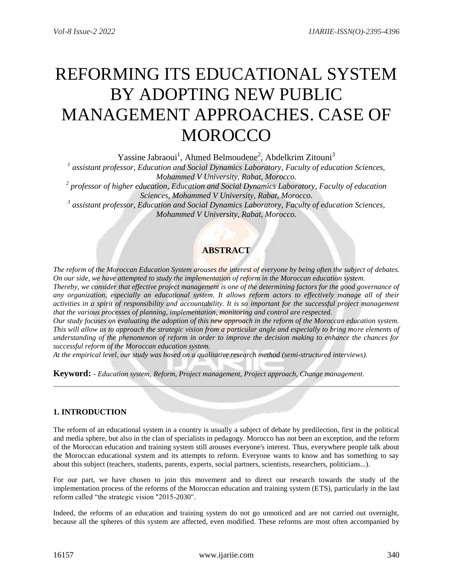# REFORMING ITS EDUCATIONAL SYSTEM BY ADOPTING NEW PUBLIC MANAGEMENT APPROACHES. CASE OF **MOROCCO**

Yassine Jabraoui<sup>1</sup>, Ahmed Belmoudene<sup>2</sup>, Abdelkrim Zitouni<sup>3</sup>

*1 assistant professor, Education and Social Dynamics Laboratory, Faculty of education Sciences, Mohammed V University, Rabat, Morocco.*

*2 professor of higher education, Education and Social Dynamics Laboratory, Faculty of education Sciences, Mohammed V University, Rabat, Morocco.*

*3 assistant professor, Education and Social Dynamics Laboratory, Faculty of education Sciences, Mohammed V University, Rabat, Morocco.*

# **ABSTRACT**

*The reform of the Moroccan Education System arouses the interest of everyone by being often the subject of debates. On our side, we have attempted to study the implementation of reform in the Moroccan education system.*

*Thereby, we consider that effective project management is one of the determining factors for the good governance of any organization, especially an educational system. It allows reform actors to effectively manage all of their activities in a spirit of responsibility and accountability. It is so important for the successful project management that the various processes of planning, implementation, monitoring and control are respected.*

*Our study focuses on evaluating the adoption of this new approach in the reform of the Moroccan education system. This will allow us to approach the strategic vision from a particular angle and especially to bring more elements of understanding of the phenomenon of reform in order to improve the decision making to enhance the chances for successful reform of the Moroccan education system.*

*At the empirical level, our study was based on a qualitative research method (semi-structured interviews).*

**Keyword: -** *Education system, Reform, Project management, Project approach, Change management.*

## **1. INTRODUCTION**

The reform of an educational system in a country is usually a subject of debate by predilection, first in the political and media sphere, but also in the clan of specialists in pedagogy. Morocco has not been an exception, and the reform of the Moroccan education and training system still arouses everyone's interest. Thus, everywhere people talk about the Moroccan educational system and its attempts to reform. Everyone wants to know and has something to say about this subject (teachers, students, parents, experts, social partners, scientists, researchers, politicians...).

For our part, we have chosen to join this movement and to direct our research towards the study of the implementation process of the reforms of the Moroccan education and training system (ETS), particularly in the last reform called "the strategic vision "2015-2030".

Indeed, the reforms of an education and training system do not go unnoticed and are not carried out overnight, because all the spheres of this system are affected, even modified. These reforms are most often accompanied by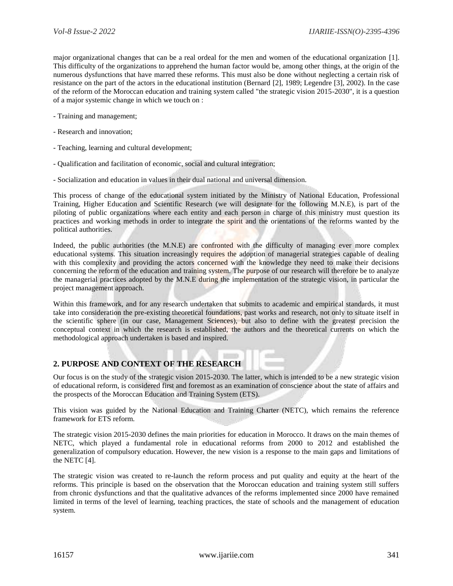major organizational changes that can be a real ordeal for the men and women of the educational organization [1]. This difficulty of the organizations to apprehend the human factor would be, among other things, at the origin of the numerous dysfunctions that have marred these reforms. This must also be done without neglecting a certain risk of resistance on the part of the actors in the educational institution (Bernard [2], 1989; Legendre [3], 2002). In the case of the reform of the Moroccan education and training system called "the strategic vision 2015-2030", it is a question of a major systemic change in which we touch on :

- Training and management;
- Research and innovation;
- Teaching, learning and cultural development;
- Qualification and facilitation of economic, social and cultural integration;
- Socialization and education in values in their dual national and universal dimension.

This process of change of the educational system initiated by the Ministry of National Education, Professional Training, Higher Education and Scientific Research (we will designate for the following M.N.E), is part of the piloting of public organizations where each entity and each person in charge of this ministry must question its practices and working methods in order to integrate the spirit and the orientations of the reforms wanted by the political authorities.

Indeed, the public authorities (the M.N.E) are confronted with the difficulty of managing ever more complex educational systems. This situation increasingly requires the adoption of managerial strategies capable of dealing with this complexity and providing the actors concerned with the knowledge they need to make their decisions concerning the reform of the education and training system. The purpose of our research will therefore be to analyze the managerial practices adopted by the M.N.E during the implementation of the strategic vision, in particular the project management approach.

Within this framework, and for any research undertaken that submits to academic and empirical standards, it must take into consideration the pre-existing theoretical foundations, past works and research, not only to situate itself in the scientific sphere (in our case, Management Sciences), but also to define with the greatest precision the conceptual context in which the research is established, the authors and the theoretical currents on which the methodological approach undertaken is based and inspired.

# **2. PURPOSE AND CONTEXT OF THE RESEARCH**

Our focus is on the study of the strategic vision 2015-2030. The latter, which is intended to be a new strategic vision of educational reform, is considered first and foremost as an examination of conscience about the state of affairs and the prospects of the Moroccan Education and Training System (ETS).

This vision was guided by the National Education and Training Charter (NETC), which remains the reference framework for ETS reform.

The strategic vision 2015-2030 defines the main priorities for education in Morocco. It draws on the main themes of NETC, which played a fundamental role in educational reforms from 2000 to 2012 and established the generalization of compulsory education. However, the new vision is a response to the main gaps and limitations of the NETC [4].

The strategic vision was created to re-launch the reform process and put quality and equity at the heart of the reforms. This principle is based on the observation that the Moroccan education and training system still suffers from chronic dysfunctions and that the qualitative advances of the reforms implemented since 2000 have remained limited in terms of the level of learning, teaching practices, the state of schools and the management of education system.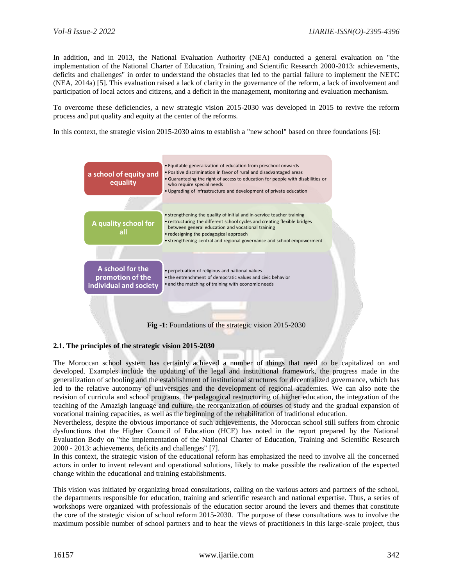In addition, and in 2013, the National Evaluation Authority (NEA) conducted a general evaluation on "the implementation of the National Charter of Education, Training and Scientific Research 2000-2013: achievements, deficits and challenges" in order to understand the obstacles that led to the partial failure to implement the NETC (NEA, 2014a) [5]. This evaluation raised a lack of clarity in the governance of the reform, a lack of involvement and participation of local actors and citizens, and a deficit in the management, monitoring and evaluation mechanism.

To overcome these deficiencies, a new strategic vision 2015-2030 was developed in 2015 to revive the reform process and put quality and equity at the center of the reforms.

In this context, the strategic vision 2015-2030 aims to establish a "new school" based on three foundations [6]:



# **2.1. The principles of the strategic vision 2015-2030**

The Moroccan school system has certainly achieved a number of things that need to be capitalized on and developed. Examples include the updating of the legal and institutional framework, the progress made in the generalization of schooling and the establishment of institutional structures for decentralized governance, which has led to the relative autonomy of universities and the development of regional academies. We can also note the revision of curricula and school programs, the pedagogical restructuring of higher education, the integration of the teaching of the Amazigh language and culture, the reorganization of courses of study and the gradual expansion of vocational training capacities, as well as the beginning of the rehabilitation of traditional education.

Nevertheless, despite the obvious importance of such achievements, the Moroccan school still suffers from chronic dysfunctions that the Higher Council of Education (HCE) has noted in the report prepared by the National Evaluation Body on "the implementation of the National Charter of Education, Training and Scientific Research 2000 - 2013: achievements, deficits and challenges" [7].

In this context, the strategic vision of the educational reform has emphasized the need to involve all the concerned actors in order to invent relevant and operational solutions, likely to make possible the realization of the expected change within the educational and training establishments.

This vision was initiated by organizing broad consultations, calling on the various actors and partners of the school, the departments responsible for education, training and scientific research and national expertise. Thus, a series of workshops were organized with professionals of the education sector around the levers and themes that constitute the core of the strategic vision of school reform 2015-2030. The purpose of these consultations was to involve the maximum possible number of school partners and to hear the views of practitioners in this large-scale project, thus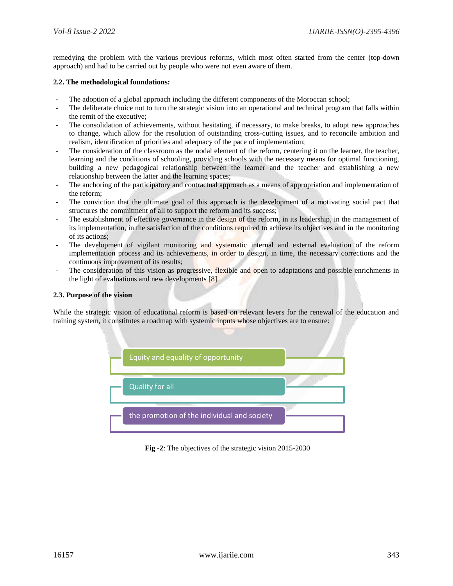remedying the problem with the various previous reforms, which most often started from the center (top-down approach) and had to be carried out by people who were not even aware of them.

#### **2.2. The methodological foundations:**

- The adoption of a global approach including the different components of the Moroccan school;
- The deliberate choice not to turn the strategic vision into an operational and technical program that falls within the remit of the executive;
- The consolidation of achievements, without hesitating, if necessary, to make breaks, to adopt new approaches to change, which allow for the resolution of outstanding cross-cutting issues, and to reconcile ambition and realism, identification of priorities and adequacy of the pace of implementation;
- The consideration of the classroom as the nodal element of the reform, centering it on the learner, the teacher, learning and the conditions of schooling, providing schools with the necessary means for optimal functioning, building a new pedagogical relationship between the learner and the teacher and establishing a new relationship between the latter and the learning spaces;
- The anchoring of the participatory and contractual approach as a means of appropriation and implementation of the reform;
- The conviction that the ultimate goal of this approach is the development of a motivating social pact that structures the commitment of all to support the reform and its success;
- The establishment of effective governance in the design of the reform, in its leadership, in the management of its implementation, in the satisfaction of the conditions required to achieve its objectives and in the monitoring of its actions;
- The development of vigilant monitoring and systematic internal and external evaluation of the reform implementation process and its achievements, in order to design, in time, the necessary corrections and the continuous improvement of its results;
- The consideration of this vision as progressive, flexible and open to adaptations and possible enrichments in the light of evaluations and new developments [8].

#### **2.3. Purpose of the vision**

While the strategic vision of educational reform is based on relevant levers for the renewal of the education and training system, it constitutes a roadmap with systemic inputs whose objectives are to ensure:



**Fig -2**: The objectives of the strategic vision 2015-2030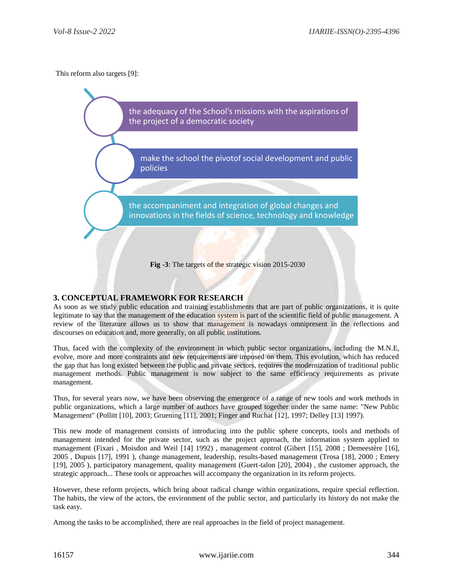This reform also targets [9]:

the adequacy of the School's missions with the aspirations of the project of a democratic society

make the school the pivotof social development and public policies

the accompaniment and integration of global changes and innovations in the fields of science, technology and knowledge

**Fig -3**: The targets of the strategic vision 2015-2030

#### **3. CONCEPTUAL FRAMEWORK FOR RESEARCH**

As soon as we study public education and training establishments that are part of public organizations, it is quite legitimate to say that the management of the education system is part of the scientific field of public management. A review of the literature allows us to show that management is nowadays omnipresent in the reflections and discourses on education and, more generally, on all public institutions.

Thus, faced with the complexity of the environment in which public sector organizations, including the M.N.E, evolve, more and more constraints and new requirements are imposed on them. This evolution, which has reduced the gap that has long existed between the public and private sectors, requires the modernization of traditional public management methods. Public management is now subject to the same efficiency requirements as private management.

Thus, for several years now, we have been observing the emergence of a range of new tools and work methods in public organizations, which a large number of authors have grouped together under the same name: "New Public Management" (Pollitt [10], 2003; Gruening [11], 2001; Finger and Ruchat [12], 1997; Delley [13] 1997).

This new mode of management consists of introducing into the public sphere concepts, tools and methods of management intended for the private sector, such as the project approach, the information system applied to management (Fixari , Moisdon and Weil [14] 1992) , management control (Gibert [15], 2008 ; Demeestère [16], 2005 , Dupuis [17], 1991 ), change management, leadership, results-based management (Trosa [18], 2000 ; Emery [19], 2005 ), participatory management, quality management (Guert-talon [20], 2004) , the customer approach, the strategic approach... These tools or approaches will accompany the organization in its reform projects.

However, these reform projects, which bring about radical change within organizations, require special reflection. The habits, the view of the actors, the environment of the public sector, and particularly its history do not make the task easy.

Among the tasks to be accomplished, there are real approaches in the field of project management.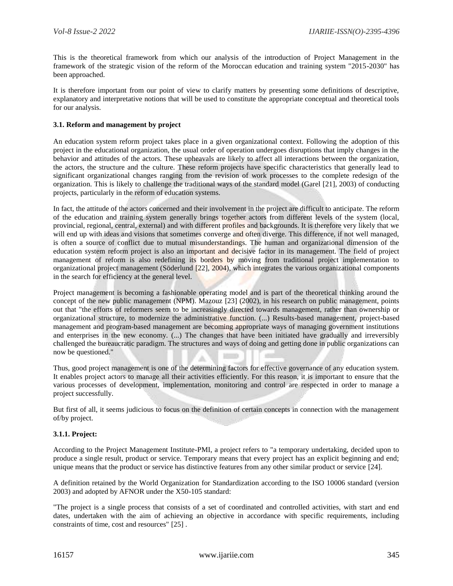This is the theoretical framework from which our analysis of the introduction of Project Management in the framework of the strategic vision of the reform of the Moroccan education and training system "2015-2030" has been approached.

It is therefore important from our point of view to clarify matters by presenting some definitions of descriptive, explanatory and interpretative notions that will be used to constitute the appropriate conceptual and theoretical tools for our analysis.

#### **3.1. Reform and management by project**

An education system reform project takes place in a given organizational context. Following the adoption of this project in the educational organization, the usual order of operation undergoes disruptions that imply changes in the behavior and attitudes of the actors. These upheavals are likely to affect all interactions between the organization, the actors, the structure and the culture. These reform projects have specific characteristics that generally lead to significant organizational changes ranging from the revision of work processes to the complete redesign of the organization. This is likely to challenge the traditional ways of the standard model (Garel [21], 2003) of conducting projects, particularly in the reform of education systems.

In fact, the attitude of the actors concerned and their involvement in the project are difficult to anticipate. The reform of the education and training system generally brings together actors from different levels of the system (local, provincial, regional, central, external) and with different profiles and backgrounds. It is therefore very likely that we will end up with ideas and visions that sometimes converge and often diverge. This difference, if not well managed, is often a source of conflict due to mutual misunderstandings. The human and organizational dimension of the education system reform project is also an important and decisive factor in its management. The field of project management of reform is also redefining its borders by moving from traditional project implementation to organizational project management (Söderlund [22], 2004), which integrates the various organizational components in the search for efficiency at the general level.

Project management is becoming a fashionable operating model and is part of the theoretical thinking around the concept of the new public management (NPM). Mazouz [23] (2002), in his research on public management, points out that "the efforts of reformers seem to be increasingly directed towards management, rather than ownership or organizational structure, to modernize the administrative function. (...) Results-based management, project-based management and program-based management are becoming appropriate ways of managing government institutions and enterprises in the new economy. (...) The changes that have been initiated have gradually and irreversibly challenged the bureaucratic paradigm. The structures and ways of doing and getting done in public organizations can now be questioned."

Thus, good project management is one of the determining factors for effective governance of any education system. It enables project actors to manage all their activities efficiently. For this reason, it is important to ensure that the various processes of development, implementation, monitoring and control are respected in order to manage a project successfully.

But first of all, it seems judicious to focus on the definition of certain concepts in connection with the management of/by project.

#### **3.1.1. Project:**

According to the Project Management Institute-PMI, a project refers to "a temporary undertaking, decided upon to produce a single result, product or service. Temporary means that every project has an explicit beginning and end; unique means that the product or service has distinctive features from any other similar product or service [24].

A definition retained by the World Organization for Standardization according to the ISO 10006 standard (version 2003) and adopted by AFNOR under the X50-105 standard:

"The project is a single process that consists of a set of coordinated and controlled activities, with start and end dates, undertaken with the aim of achieving an objective in accordance with specific requirements, including constraints of time, cost and resources" [25] .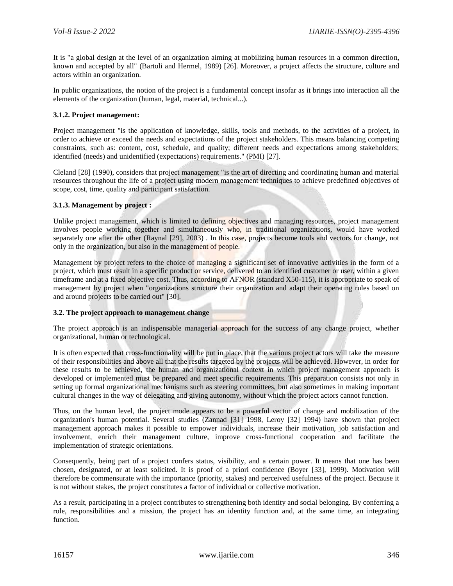It is "a global design at the level of an organization aiming at mobilizing human resources in a common direction, known and accepted by all" (Bartoli and Hermel, 1989) [26]. Moreover, a project affects the structure, culture and actors within an organization.

In public organizations, the notion of the project is a fundamental concept insofar as it brings into interaction all the elements of the organization (human, legal, material, technical...).

#### **3.1.2. Project management:**

Project management "is the application of knowledge, skills, tools and methods, to the activities of a project, in order to achieve or exceed the needs and expectations of the project stakeholders. This means balancing competing constraints, such as: content, cost, schedule, and quality; different needs and expectations among stakeholders; identified (needs) and unidentified (expectations) requirements." (PMI) [27].

Cleland [28] (1990), considers that project management "is the art of directing and coordinating human and material resources throughout the life of a project using modern management techniques to achieve predefined objectives of scope, cost, time, quality and participant satisfaction.

#### **3.1.3. Management by project :**

Unlike project management, which is limited to defining objectives and managing resources, project management involves people working together and simultaneously who, in traditional organizations, would have worked separately one after the other (Raynal [29], 2003) . In this case, projects become tools and vectors for change, not only in the organization, but also in the management of people.

Management by project refers to the choice of managing a significant set of innovative activities in the form of a project, which must result in a specific product or service, delivered to an identified customer or user, within a given timeframe and at a fixed objective cost. Thus, according to AFNOR (standard X50-115), it is appropriate to speak of management by project when "organizations structure their organization and adapt their operating rules based on and around projects to be carried out" [30].

#### **3.2. The project approach to management change**

The project approach is an indispensable managerial approach for the success of any change project, whether organizational, human or technological.

It is often expected that cross-functionality will be put in place, that the various project actors will take the measure of their responsibilities and above all that the results targeted by the projects will be achieved. However, in order for these results to be achieved, the human and organizational context in which project management approach is developed or implemented must be prepared and meet specific requirements. This preparation consists not only in setting up formal organizational mechanisms such as steering committees, but also sometimes in making important cultural changes in the way of delegating and giving autonomy, without which the project actors cannot function.

Thus, on the human level, the project mode appears to be a powerful vector of change and mobilization of the organization's human potential. Several studies (Zannad [31] 1998, Leroy [32] 1994) have shown that project management approach makes it possible to empower individuals, increase their motivation, job satisfaction and involvement, enrich their management culture, improve cross-functional cooperation and facilitate the implementation of strategic orientations.

Consequently, being part of a project confers status, visibility, and a certain power. It means that one has been chosen, designated, or at least solicited. It is proof of a priori confidence (Boyer [33], 1999). Motivation will therefore be commensurate with the importance (priority, stakes) and perceived usefulness of the project. Because it is not without stakes, the project constitutes a factor of individual or collective motivation.

As a result, participating in a project contributes to strengthening both identity and social belonging. By conferring a role, responsibilities and a mission, the project has an identity function and, at the same time, an integrating function.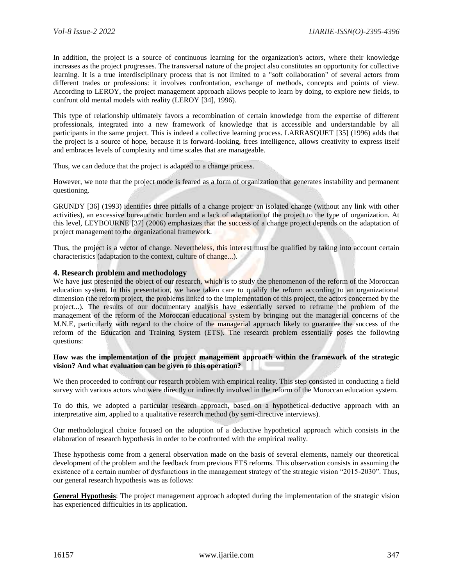In addition, the project is a source of continuous learning for the organization's actors, where their knowledge increases as the project progresses. The transversal nature of the project also constitutes an opportunity for collective learning. It is a true interdisciplinary process that is not limited to a "soft collaboration" of several actors from different trades or professions: it involves confrontation, exchange of methods, concepts and points of view. According to LEROY, the project management approach allows people to learn by doing, to explore new fields, to confront old mental models with reality (LEROY [34], 1996).

This type of relationship ultimately favors a recombination of certain knowledge from the expertise of different professionals, integrated into a new framework of knowledge that is accessible and understandable by all participants in the same project. This is indeed a collective learning process. LARRASQUET [35] (1996) adds that the project is a source of hope, because it is forward-looking, frees intelligence, allows creativity to express itself and embraces levels of complexity and time scales that are manageable.

Thus, we can deduce that the project is adapted to a change process.

However, we note that the project mode is feared as a form of organization that generates instability and permanent questioning.

GRUNDY [36] (1993) identifies three pitfalls of a change project: an isolated change (without any link with other activities), an excessive bureaucratic burden and a lack of adaptation of the project to the type of organization. At this level, LEYBOURNE [37] (2006) emphasizes that the success of a change project depends on the adaptation of project management to the organizational framework.

Thus, the project is a vector of change. Nevertheless, this interest must be qualified by taking into account certain characteristics (adaptation to the context, culture of change...).

#### **4. Research problem and methodology**

We have just presented the object of our research, which is to study the phenomenon of the reform of the Moroccan education system. In this presentation, we have taken care to qualify the reform according to an organizational dimension (the reform project, the problems linked to the implementation of this project, the actors concerned by the project...). The results of our documentary analysis have essentially served to reframe the problem of the management of the reform of the Moroccan educational system by bringing out the managerial concerns of the M.N.E, particularly with regard to the choice of the managerial approach likely to guarantee the success of the reform of the Education and Training System (ETS). The research problem essentially poses the following questions:

#### **How was the implementation of the project management approach within the framework of the strategic vision? And what evaluation can be given to this operation?**

We then proceeded to confront our research problem with empirical reality. This step consisted in conducting a field survey with various actors who were directly or indirectly involved in the reform of the Moroccan education system.

To do this, we adopted a particular research approach, based on a hypothetical-deductive approach with an interpretative aim, applied to a qualitative research method (by semi-directive interviews).

Our methodological choice focused on the adoption of a deductive hypothetical approach which consists in the elaboration of research hypothesis in order to be confronted with the empirical reality.

These hypothesis come from a general observation made on the basis of several elements, namely our theoretical development of the problem and the feedback from previous ETS reforms. This observation consists in assuming the existence of a certain number of dysfunctions in the management strategy of the strategic vision "2015-2030". Thus, our general research hypothesis was as follows:

**General Hypothesis**: The project management approach adopted during the implementation of the strategic vision has experienced difficulties in its application.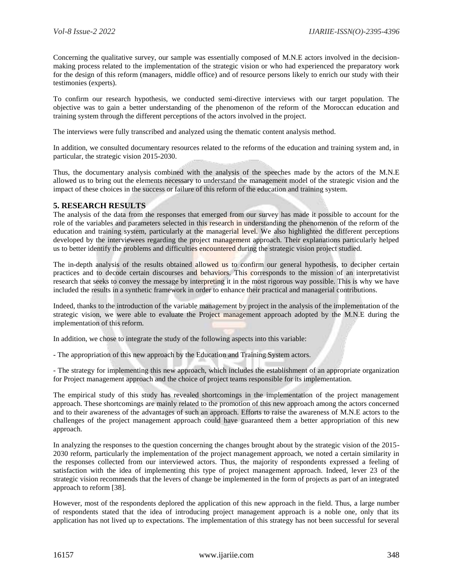Concerning the qualitative survey, our sample was essentially composed of M.N.E actors involved in the decisionmaking process related to the implementation of the strategic vision or who had experienced the preparatory work for the design of this reform (managers, middle office) and of resource persons likely to enrich our study with their testimonies (experts).

To confirm our research hypothesis, we conducted semi-directive interviews with our target population. The objective was to gain a better understanding of the phenomenon of the reform of the Moroccan education and training system through the different perceptions of the actors involved in the project.

The interviews were fully transcribed and analyzed using the thematic content analysis method.

In addition, we consulted documentary resources related to the reforms of the education and training system and, in particular, the strategic vision 2015-2030.

Thus, the documentary analysis combined with the analysis of the speeches made by the actors of the M.N.E allowed us to bring out the elements necessary to understand the management model of the strategic vision and the impact of these choices in the success or failure of this reform of the education and training system.

#### **5. RESEARCH RESULTS**

The analysis of the data from the responses that emerged from our survey has made it possible to account for the role of the variables and parameters selected in this research in understanding the phenomenon of the reform of the education and training system, particularly at the managerial level. We also highlighted the different perceptions developed by the interviewees regarding the project management approach. Their explanations particularly helped us to better identify the problems and difficulties encountered during the strategic vision project studied.

The in-depth analysis of the results obtained allowed us to confirm our general hypothesis, to decipher certain practices and to decode certain discourses and behaviors. This corresponds to the mission of an interpretativist research that seeks to convey the message by interpreting it in the most rigorous way possible. This is why we have included the results in a synthetic framework in order to enhance their practical and managerial contributions.

Indeed, thanks to the introduction of the variable management by project in the analysis of the implementation of the strategic vision, we were able to evaluate the Project management approach adopted by the M.N.E during the implementation of this reform.

In addition, we chose to integrate the study of the following aspects into this variable:

- The appropriation of this new approach by the Education and Training System actors.

- The strategy for implementing this new approach, which includes the establishment of an appropriate organization for Project management approach and the choice of project teams responsible for its implementation.

The empirical study of this study has revealed shortcomings in the implementation of the project management approach. These shortcomings are mainly related to the promotion of this new approach among the actors concerned and to their awareness of the advantages of such an approach. Efforts to raise the awareness of M.N.E actors to the challenges of the project management approach could have guaranteed them a better appropriation of this new approach.

In analyzing the responses to the question concerning the changes brought about by the strategic vision of the 2015- 2030 reform, particularly the implementation of the project management approach, we noted a certain similarity in the responses collected from our interviewed actors. Thus, the majority of respondents expressed a feeling of satisfaction with the idea of implementing this type of project management approach. Indeed, lever 23 of the strategic vision recommends that the levers of change be implemented in the form of projects as part of an integrated approach to reform [38].

However, most of the respondents deplored the application of this new approach in the field. Thus, a large number of respondents stated that the idea of introducing project management approach is a noble one, only that its application has not lived up to expectations. The implementation of this strategy has not been successful for several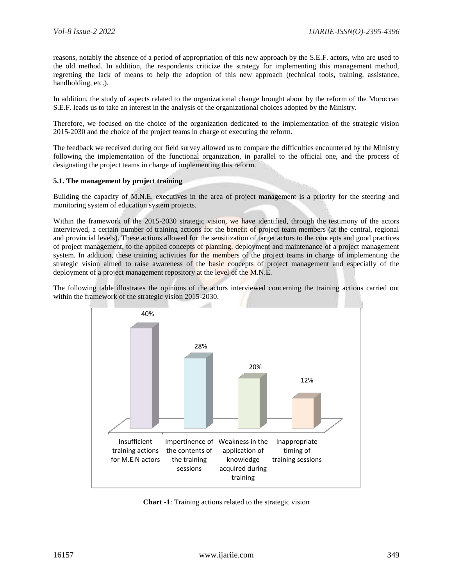reasons, notably the absence of a period of appropriation of this new approach by the S.E.F. actors, who are used to the old method. In addition, the respondents criticize the strategy for implementing this management method, regretting the lack of means to help the adoption of this new approach (technical tools, training, assistance, handholding, etc.).

In addition, the study of aspects related to the organizational change brought about by the reform of the Moroccan S.E.F. leads us to take an interest in the analysis of the organizational choices adopted by the Ministry.

Therefore, we focused on the choice of the organization dedicated to the implementation of the strategic vision 2015-2030 and the choice of the project teams in charge of executing the reform.

The feedback we received during our field survey allowed us to compare the difficulties encountered by the Ministry following the implementation of the functional organization, in parallel to the official one, and the process of designating the project teams in charge of implementing this reform.

#### **5.1. The management by project training**

Building the capacity of M.N.E. executives in the area of project management is a priority for the steering and monitoring system of education system projects.

Within the framework of the 2015-2030 strategic vision, we have identified, through the testimony of the actors interviewed, a certain number of training actions for the benefit of project team members (at the central, regional and provincial levels). These actions allowed for the sensitization of target actors to the concepts and good practices of project management, to the applied concepts of planning, deployment and maintenance of a project management system. In addition, these training activities for the members of the project teams in charge of implementing the strategic vision aimed to raise awareness of the basic concepts of project management and especially of the deployment of a project management repository at the level of the M.N.E.

The following table illustrates the opinions of the actors interviewed concerning the training actions carried out within the framework of the strategic vision 2015-2030.



**Chart -1**: Training actions related to the strategic vision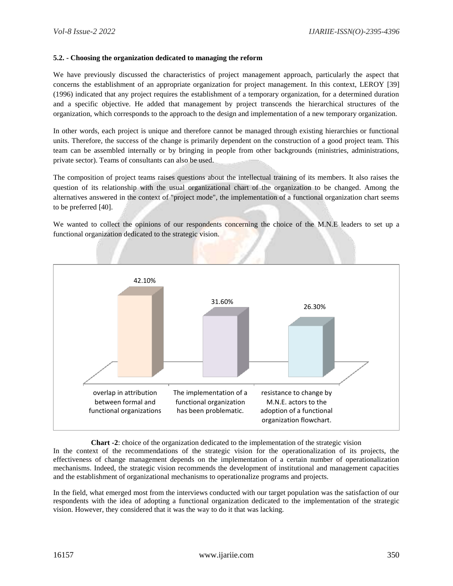#### **5.2. - Choosing the organization dedicated to managing the reform**

We have previously discussed the characteristics of project management approach, particularly the aspect that concerns the establishment of an appropriate organization for project management. In this context, LEROY [39] (1996) indicated that any project requires the establishment of a temporary organization, for a determined duration and a specific objective. He added that management by project transcends the hierarchical structures of the organization, which corresponds to the approach to the design and implementation of a new temporary organization.

In other words, each project is unique and therefore cannot be managed through existing hierarchies or functional units. Therefore, the success of the change is primarily dependent on the construction of a good project team. This team can be assembled internally or by bringing in people from other backgrounds (ministries, administrations, private sector). Teams of consultants can also be used.

The composition of project teams raises questions about the intellectual training of its members. It also raises the question of its relationship with the usual organizational chart of the organization to be changed. Among the alternatives answered in the context of "project mode", the implementation of a functional organization chart seems to be preferred [40].

We wanted to collect the opinions of our respondents concerning the choice of the M.N.E leaders to set up a functional organization dedicated to the strategic vision.



**Chart -2**: choice of the organization dedicated to the implementation of the strategic vision In the context of the recommendations of the strategic vision for the operationalization of its projects, the effectiveness of change management depends on the implementation of a certain number of operationalization mechanisms. Indeed, the strategic vision recommends the development of institutional and management capacities and the establishment of organizational mechanisms to operationalize programs and projects.

In the field, what emerged most from the interviews conducted with our target population was the satisfaction of our respondents with the idea of adopting a functional organization dedicated to the implementation of the strategic vision. However, they considered that it was the way to do it that was lacking.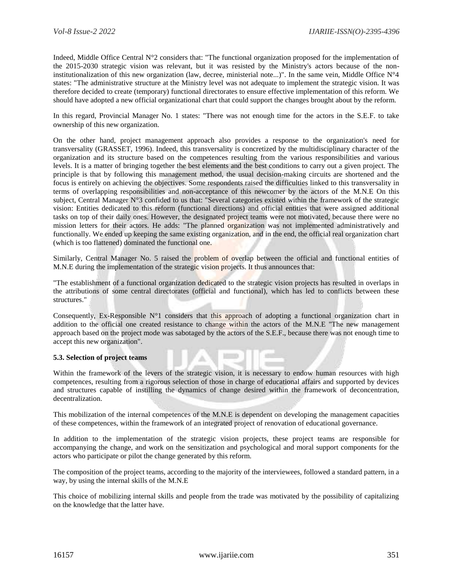Indeed, Middle Office Central N°2 considers that: "The functional organization proposed for the implementation of the 2015-2030 strategic vision was relevant, but it was resisted by the Ministry's actors because of the noninstitutionalization of this new organization (law, decree, ministerial note...)". In the same vein, Middle Office  $N^{\circ}4$ states: "The administrative structure at the Ministry level was not adequate to implement the strategic vision. It was therefore decided to create (temporary) functional directorates to ensure effective implementation of this reform. We should have adopted a new official organizational chart that could support the changes brought about by the reform.

In this regard, Provincial Manager No. 1 states: "There was not enough time for the actors in the S.E.F. to take ownership of this new organization.

On the other hand, project management approach also provides a response to the organization's need for transversality (GRASSET, 1996). Indeed, this transversality is concretized by the multidisciplinary character of the organization and its structure based on the competences resulting from the various responsibilities and various levels. It is a matter of bringing together the best elements and the best conditions to carry out a given project. The principle is that by following this management method, the usual decision-making circuits are shortened and the focus is entirely on achieving the objectives. Some respondents raised the difficulties linked to this transversality in terms of overlapping responsibilities and non-acceptance of this newcomer by the actors of the M.N.E On this subject, Central Manager N°3 confided to us that: "Several categories existed within the framework of the strategic vision: Entities dedicated to this reform (functional directions) and official entities that were assigned additional tasks on top of their daily ones. However, the designated project teams were not motivated, because there were no mission letters for their actors. He adds: "The planned organization was not implemented administratively and functionally. We ended up keeping the same existing organization, and in the end, the official real organization chart (which is too flattened) dominated the functional one.

Similarly, Central Manager No. 5 raised the problem of overlap between the official and functional entities of M.N.E during the implementation of the strategic vision projects. It thus announces that:

The establishment of a functional organization dedicated to the strategic vision projects has resulted in overlaps in the attributions of some central directorates (official and functional), which has led to conflicts between these structures."

Consequently, Ex-Responsible  $N^{\circ}1$  considers that this approach of adopting a functional organization chart in addition to the official one created resistance to change within the actors of the M.N.E "The new management approach based on the project mode was sabotaged by the actors of the S.E.F., because there was not enough time to accept this new organization".

#### **5.3. Selection of project teams**

Within the framework of the levers of the strategic vision, it is necessary to endow human resources with high competences, resulting from a rigorous selection of those in charge of educational affairs and supported by devices and structures capable of instilling the dynamics of change desired within the framework of deconcentration, decentralization.

This mobilization of the internal competences of the M.N.E is dependent on developing the management capacities of these competences, within the framework of an integrated project of renovation of educational governance.

In addition to the implementation of the strategic vision projects, these project teams are responsible for accompanying the change, and work on the sensitization and psychological and moral support components for the actors who participate or pilot the change generated by this reform.

The composition of the project teams, according to the majority of the interviewees, followed a standard pattern, in a way, by using the internal skills of the M.N.E

This choice of mobilizing internal skills and people from the trade was motivated by the possibility of capitalizing on the knowledge that the latter have.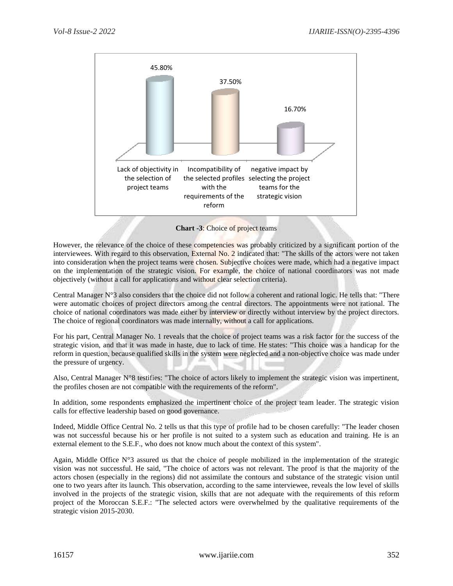

**Chart -3**: Choice of project teams

However, the relevance of the choice of these competencies was probably criticized by a significant portion of the interviewees. With regard to this observation, External No. 2 indicated that: "The skills of the actors were not taken into consideration when the project teams were chosen. Subjective choices were made, which had a negative impact on the implementation of the strategic vision. For example, the choice of national coordinators was not made objectively (without a call for applications and without clear selection criteria).

Central Manager  $N^{\circ}3$  also considers that the choice did not follow a coherent and rational logic. He tells that: "There were automatic choices of project directors among the central directors. The appointments were not rational. The choice of national coordinators was made either by interview or directly without interview by the project directors. The choice of regional coordinators was made internally, without a call for applications.

For his part, Central Manager No. 1 reveals that the choice of project teams was a risk factor for the success of the strategic vision, and that it was made in haste, due to lack of time. He states: "This choice was a handicap for the reform in question, because qualified skills in the system were neglected and a non-objective choice was made under the pressure of urgency.

Also, Central Manager N°8 testifies: "The choice of actors likely to implement the strategic vision was impertinent, the profiles chosen are not compatible with the requirements of the reform".

In addition, some respondents emphasized the impertinent choice of the project team leader. The strategic vision calls for effective leadership based on good governance.

Indeed, Middle Office Central No. 2 tells us that this type of profile had to be chosen carefully: "The leader chosen was not successful because his or her profile is not suited to a system such as education and training. He is an external element to the S.E.F., who does not know much about the context of this system".

Again, Middle Office N°3 assured us that the choice of people mobilized in the implementation of the strategic vision was not successful. He said, "The choice of actors was not relevant. The proof is that the majority of the actors chosen (especially in the regions) did not assimilate the contours and substance of the strategic vision until one to two years after its launch. This observation, according to the same interviewee, reveals the low level of skills involved in the projects of the strategic vision, skills that are not adequate with the requirements of this reform project of the Moroccan S.E.F.: "The selected actors were overwhelmed by the qualitative requirements of the strategic vision 2015-2030.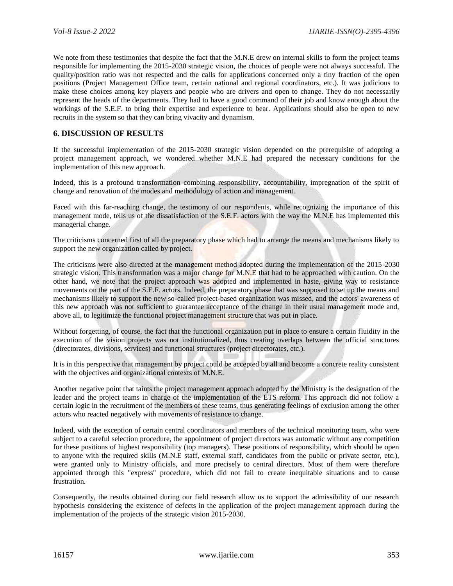We note from these testimonies that despite the fact that the M.N.E drew on internal skills to form the project teams responsible for implementing the 2015-2030 strategic vision, the choices of people were not always successful. The quality/position ratio was not respected and the calls for applications concerned only a tiny fraction of the open positions (Project Management Office team, certain national and regional coordinators, etc.). It was judicious to make these choices among key players and people who are drivers and open to change. They do not necessarily represent the heads of the departments. They had to have a good command of their job and know enough about the workings of the S.E.F. to bring their expertise and experience to bear. Applications should also be open to new recruits in the system so that they can bring vivacity and dynamism.

# **6. DISCUSSION OF RESULTS**

If the successful implementation of the 2015-2030 strategic vision depended on the prerequisite of adopting a project management approach, we wondered whether M.N.E had prepared the necessary conditions for the implementation of this new approach.

Indeed, this is a profound transformation combining responsibility, accountability, impregnation of the spirit of change and renovation of the modes and methodology of action and management.

Faced with this far-reaching change, the testimony of our respondents, while recognizing the importance of this management mode, tells us of the dissatisfaction of the S.E.F. actors with the way the M.N.E has implemented this managerial change.

The criticisms concerned first of all the preparatory phase which had to arrange the means and mechanisms likely to support the new organization called by project.

The criticisms were also directed at the management method adopted during the implementation of the 2015-2030 strategic vision. This transformation was a major change for M.N.E that had to be approached with caution. On the other hand, we note that the project approach was adopted and implemented in haste, giving way to resistance movements on the part of the S.E.F. actors. Indeed, the preparatory phase that was supposed to set up the means and mechanisms likely to support the new so-called project-based organization was missed, and the actors' awareness of this new approach was not sufficient to guarantee acceptance of the change in their usual management mode and, above all, to legitimize the functional project management structure that was put in place.

Without forgetting, of course, the fact that the functional organization put in place to ensure a certain fluidity in the execution of the vision projects was not institutionalized, thus creating overlaps between the official structures (directorates, divisions, services) and functional structures (project directorates, etc.).

It is in this perspective that management by project could be accepted by all and become a concrete reality consistent with the objectives and organizational contexts of M.N.E.

Another negative point that taints the project management approach adopted by the Ministry is the designation of the leader and the project teams in charge of the implementation of the ETS reform. This approach did not follow a certain logic in the recruitment of the members of these teams, thus generating feelings of exclusion among the other actors who reacted negatively with movements of resistance to change.

Indeed, with the exception of certain central coordinators and members of the technical monitoring team, who were subject to a careful selection procedure, the appointment of project directors was automatic without any competition for these positions of highest responsibility (top managers). These positions of responsibility, which should be open to anyone with the required skills (M.N.E staff, external staff, candidates from the public or private sector, etc.), were granted only to Ministry officials, and more precisely to central directors. Most of them were therefore appointed through this "express" procedure, which did not fail to create inequitable situations and to cause frustration.

Consequently, the results obtained during our field research allow us to support the admissibility of our research hypothesis considering the existence of defects in the application of the project management approach during the implementation of the projects of the strategic vision 2015-2030.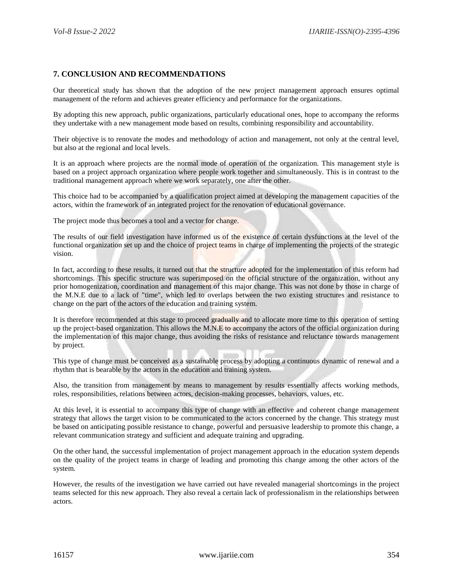## **7. CONCLUSION AND RECOMMENDATIONS**

Our theoretical study has shown that the adoption of the new project management approach ensures optimal management of the reform and achieves greater efficiency and performance for the organizations.

By adopting this new approach, public organizations, particularly educational ones, hope to accompany the reforms they undertake with a new management mode based on results, combining responsibility and accountability.

Their objective is to renovate the modes and methodology of action and management, not only at the central level, but also at the regional and local levels.

It is an approach where projects are the normal mode of operation of the organization. This management style is based on a project approach organization where people work together and simultaneously. This is in contrast to the traditional management approach where we work separately, one after the other.

This choice had to be accompanied by a qualification project aimed at developing the management capacities of the actors, within the framework of an integrated project for the renovation of educational governance.

The project mode thus becomes a tool and a vector for change.

The results of our field investigation have informed us of the existence of certain dysfunctions at the level of the functional organization set up and the choice of project teams in charge of implementing the projects of the strategic vision.

In fact, according to these results, it turned out that the structure adopted for the implementation of this reform had shortcomings. This specific structure was superimposed on the official structure of the organization, without any prior homogenization, coordination and management of this major change. This was not done by those in charge of the M.N.E due to a lack of "time", which led to overlaps between the two existing structures and resistance to change on the part of the actors of the education and training system.

It is therefore recommended at this stage to proceed gradually and to allocate more time to this operation of setting up the project-based organization. This allows the M.N.E to accompany the actors of the official organization during the implementation of this major change, thus avoiding the risks of resistance and reluctance towards management by project.

This type of change must be conceived as a sustainable process by adopting a continuous dynamic of renewal and a rhythm that is bearable by the actors in the education and training system.

Also, the transition from management by means to management by results essentially affects working methods, roles, responsibilities, relations between actors, decision-making processes, behaviors, values, etc.

At this level, it is essential to accompany this type of change with an effective and coherent change management strategy that allows the target vision to be communicated to the actors concerned by the change. This strategy must be based on anticipating possible resistance to change, powerful and persuasive leadership to promote this change, a relevant communication strategy and sufficient and adequate training and upgrading.

On the other hand, the successful implementation of project management approach in the education system depends on the quality of the project teams in charge of leading and promoting this change among the other actors of the system.

However, the results of the investigation we have carried out have revealed managerial shortcomings in the project teams selected for this new approach. They also reveal a certain lack of professionalism in the relationships between actors.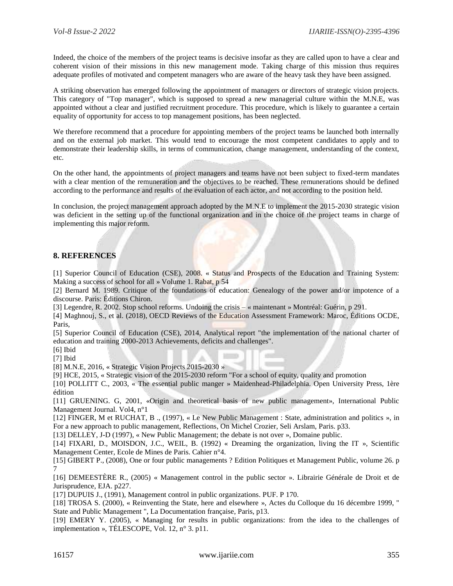Indeed, the choice of the members of the project teams is decisive insofar as they are called upon to have a clear and coherent vision of their missions in this new management mode. Taking charge of this mission thus requires adequate profiles of motivated and competent managers who are aware of the heavy task they have been assigned.

A striking observation has emerged following the appointment of managers or directors of strategic vision projects. This category of "Top manager", which is supposed to spread a new managerial culture within the M.N.E, was appointed without a clear and justified recruitment procedure. This procedure, which is likely to guarantee a certain equality of opportunity for access to top management positions, has been neglected.

We therefore recommend that a procedure for appointing members of the project teams be launched both internally and on the external job market. This would tend to encourage the most competent candidates to apply and to demonstrate their leadership skills, in terms of communication, change management, understanding of the context, etc.

On the other hand, the appointments of project managers and teams have not been subject to fixed-term mandates with a clear mention of the remuneration and the objectives to be reached. These remunerations should be defined according to the performance and results of the evaluation of each actor, and not according to the position held.

In conclusion, the project management approach adopted by the M.N.E to implement the 2015-2030 strategic vision was deficient in the setting up of the functional organization and in the choice of the project teams in charge of implementing this major reform.

## **8. REFERENCES**

[1] Superior Council of Education (CSE), 2008. « Status and Prospects of the Education and Training System: Making a success of school for all » Volume 1. Rabat, p 54

[2] Bernard M. 1989. Critique of the foundations of education: Genealogy of the power and/or impotence of a discourse. Paris: Éditions Chiron.

[3] Legendre, R. 2002. Stop school reforms. Undoing the crisis – « maintenant » Montréal: Guérin, p 291.

[4] Maghnouj, S., et al. (2018), OECD Reviews of the Education Assessment Framework: Maroc, Éditions OCDE, Paris,

[5] Superior Council of Education (CSE), 2014, Analytical report "the implementation of the national charter of education and training 2000-2013 Achievements, deficits and challenges".

[6] Ibid

[7] Ibid

[8] M.N.E, 2016, « Strategic Vision Projects 2015-2030 »

[9] HCE, 2015, « Strategic vision of the 2015-2030 reform "For a school of equity, quality and promotion

[10] POLLITT C., 2003, « The essential public manger » Maidenhead-Philadelphia. Open University Press, 1ère édition

[11] GRUENING. G, 2001, «Origin and theoretical basis of new public management», International Public Management Journal. Vol4, n°1

[12] FINGER, M et RUCHAT, B ., (1997), « Le New Public Management : State, administration and politics », in For a new approach to public management, Reflections, On Michel Crozier, Seli Arslam, Paris. p33.

[13] DELLEY, J-D (1997), « New Public Management; the debate is not over », Domaine public.

[14] FIXARI, D., MOISDON, J.C., WEIL, B. (1992) « Dreaming the organization, living the IT », Scientific Management Center, Ecole de Mines de Paris. Cahier n°4.

[15] GIBERT P., (2008), One or four public managements ? Edition Politiques et Management Public, volume 26. p 7

[16] DEMEESTÈRE R., (2005) « Management control in the public sector ». Librairie Générale de Droit et de Jurisprudence, EJA. p227.

[17] DUPUIS J., (1991), Management control in public organizations. PUF. P 170.

[18] TROSA S. (2000), « Reinventing the State, here and elsewhere », Actes du Colloque du 16 décembre 1999, " State and Public Management ", La Documentation française, Paris, p13.

[19] EMERY Y. (2005), « Managing for results in public organizations: from the idea to the challenges of implementation », TÉLESCOPE, Vol. 12, n° 3. p11.